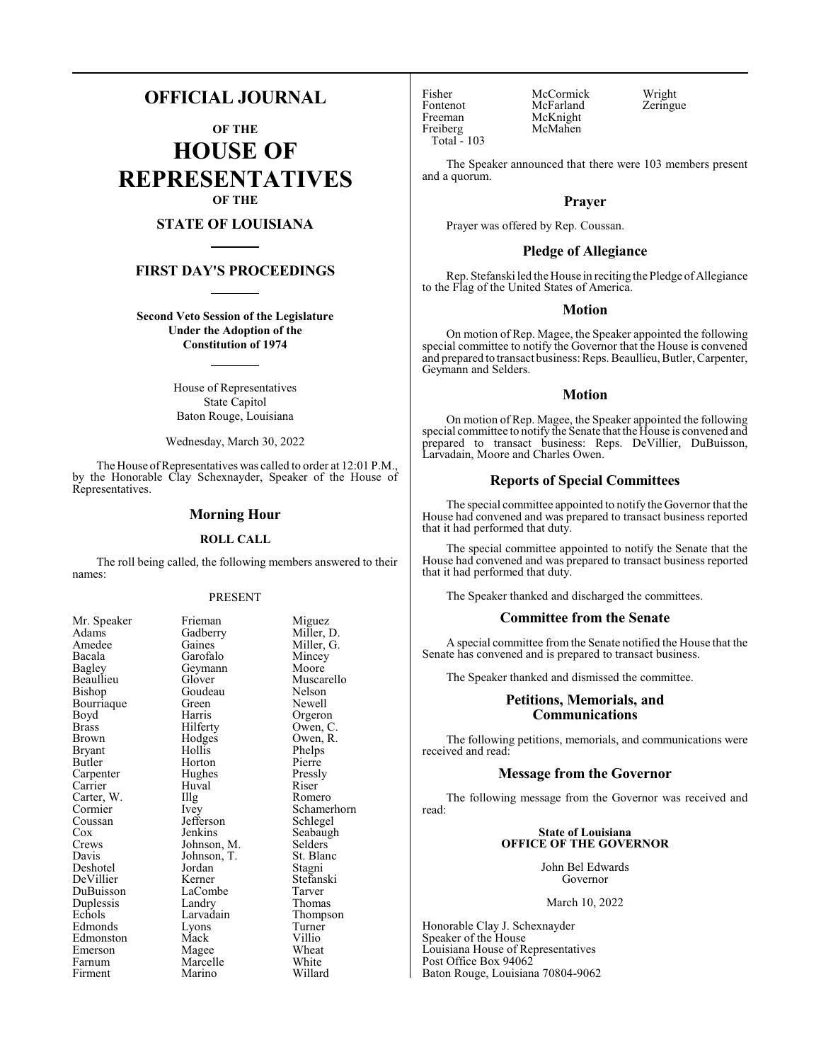## **OFFICIAL JOURNAL**

**OF THE HOUSE OF REPRESENTATIVES OF THE**

## **STATE OF LOUISIANA**

## **FIRST DAY'S PROCEEDINGS**

**Second Veto Session of the Legislature Under the Adoption of the Constitution of 1974**

> House of Representatives State Capitol Baton Rouge, Louisiana

Wednesday, March 30, 2022

The House of Representatives was called to order at 12:01 P.M., by the Honorable Clay Schexnayder, Speaker of the House of Representatives.

#### **Morning Hour**

#### **ROLL CALL**

The roll being called, the following members answered to their names:

#### PRESENT

| Mr. Speaker | Frieman     | Migue   |
|-------------|-------------|---------|
| Adams       | Gadberry    | Miller  |
| Amedee      | Gaines      | Miller  |
| Bacala      | Garofalo    | Mince   |
| Bagley      | Geymann     | Moore   |
| Beaullieu   | Glover      | Musca   |
| Bishop      | Goudeau     | Nelson  |
| Bourriaque  | Green       | Newel   |
| Boyd        | Harris      | Orgero  |
| Brass       | Hilferty    | Owen,   |
| Brown       | Hodges      | Owen,   |
| Bryant      | Hollis      | Phelps  |
| Butler      | Horton      | Pierre  |
| Carpenter   | Hughes      | Pressly |
| Carrier     | Huval       | Riser   |
| Carter, W.  | Illg        | Romer   |
| Cormier     | Ivey        | Scham   |
| Coussan     | Jefferson   | Schleg  |
| Cox         | Jenkins     | Seabai  |
| Crews       | Johnson, M. | Selder  |
| Davis       | Johnson, T. | St. Bla |
| Deshotel    | Jordan      | Stagni  |
| DeVillier   | Kerner      | Stefan  |
| DuBuisson   | LaCombe     | Tarver  |
| Duplessis   | Landry      | Thoma   |
| Echols      | Larvadain   | Thomp   |
| Edmonds     | Lyons       | Turner  |
| Edmonston   | Mack        | Villio  |
| Emerson     | Magee       | Wheat   |
| Farnum      | Marcelle    | White   |
| Firment     | Marino      | Willar  |
|             |             |         |

Miguez Miller, D. Miller, G. Mincey Moore Muscarello Nelson Newell Orgeron  $\widetilde{\text{Owen}}, \text{C}$ Owen, R. Phelps<br>Pierre Pressly<br>Riser Romero Schamerhorn Schlegel Seabaugh Selders St. Blanc Stagni Stefanski Tarver Thomas Thompson Turner<br>Villio Willard

Freiberg Total - 103

Fisher McCormick Wright<br>Fontenot McFarland Zeringue Fontenot McFarland<br>Freeman McKnight McKnight<br>McMahen

The Speaker announced that there were 103 members present and a quorum.

## **Prayer**

Prayer was offered by Rep. Coussan.

#### **Pledge of Allegiance**

Rep. Stefanski led the House in reciting the Pledge of Allegiance to the Flag of the United States of America.

#### **Motion**

On motion of Rep. Magee, the Speaker appointed the following special committee to notify the Governor that the House is convened and prepared to transact business: Reps. Beaullieu, Butler, Carpenter, Geymann and Selders.

#### **Motion**

On motion of Rep. Magee, the Speaker appointed the following special committee to notify the Senate that the House is convened and prepared to transact business: Reps. DeVillier, DuBuisson, Larvadain, Moore and Charles Owen.

## **Reports of Special Committees**

The special committee appointed to notify the Governor that the House had convened and was prepared to transact business reported that it had performed that duty.

The special committee appointed to notify the Senate that the House had convened and was prepared to transact business reported that it had performed that duty.

The Speaker thanked and discharged the committees.

#### **Committee from the Senate**

A special committee from the Senate notified the House that the Senate has convened and is prepared to transact business.

The Speaker thanked and dismissed the committee.

## **Petitions, Memorials, and Communications**

The following petitions, memorials, and communications were received and read:

## **Message from the Governor**

The following message from the Governor was received and read:

#### **State of Louisiana OFFICE OF THE GOVERNOR**

John Bel Edwards Governor

March 10, 2022

Honorable Clay J. Schexnayder Speaker of the House Louisiana House of Representatives Post Office Box 94062 Baton Rouge, Louisiana 70804-9062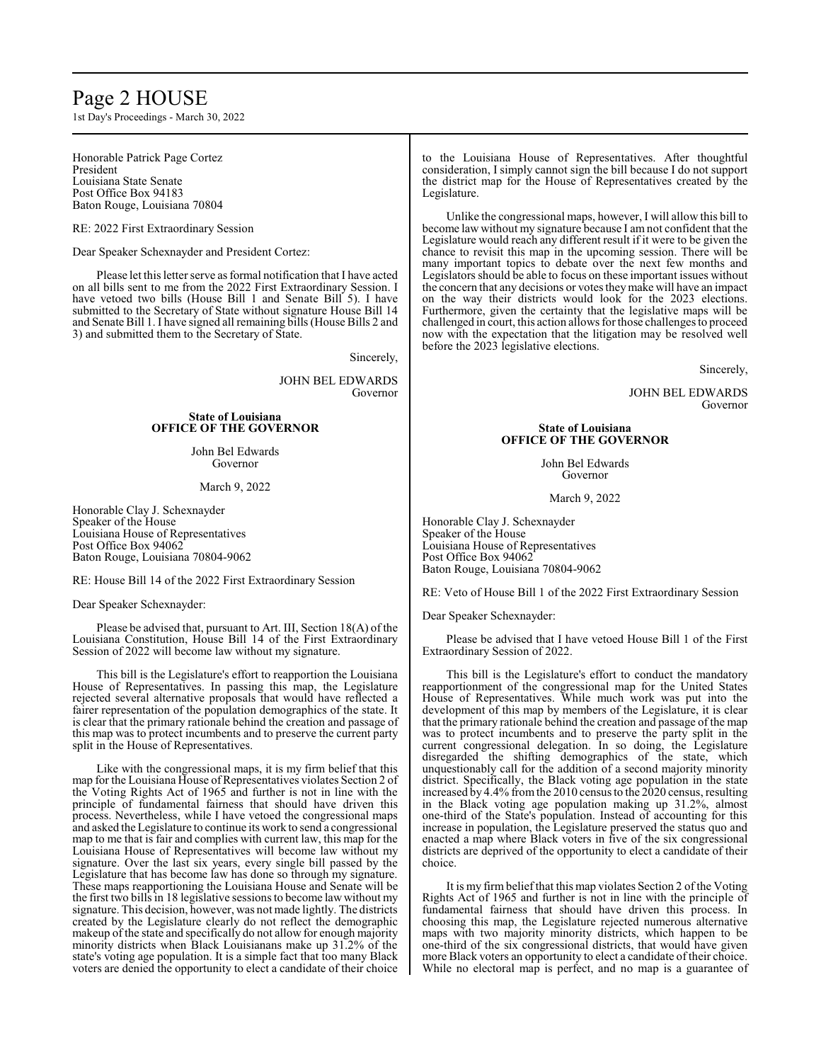## Page 2 HOUSE

1st Day's Proceedings - March 30, 2022

Honorable Patrick Page Cortez President Louisiana State Senate Post Office Box 94183 Baton Rouge, Louisiana 70804

RE: 2022 First Extraordinary Session

Dear Speaker Schexnayder and President Cortez:

Please let this letter serve as formal notification that I have acted on all bills sent to me from the 2022 First Extraordinary Session. I have vetoed two bills (House Bill 1 and Senate Bill 5). I have submitted to the Secretary of State without signature House Bill 14 and Senate Bill 1. I have signed all remaining bills (House Bills 2 and 3) and submitted them to the Secretary of State.

Sincerely,

JOHN BEL EDWARDS Governor

#### **State of Louisiana OFFICE OF THE GOVERNOR**

John Bel Edwards Governor

March 9, 2022

Honorable Clay J. Schexnayder Speaker of the House Louisiana House of Representatives Post Office Box 94062 Baton Rouge, Louisiana 70804-9062

RE: House Bill 14 of the 2022 First Extraordinary Session

Dear Speaker Schexnayder:

Please be advised that, pursuant to Art. III, Section 18(A) of the Louisiana Constitution, House Bill 14 of the First Extraordinary Session of 2022 will become law without my signature.

This bill is the Legislature's effort to reapportion the Louisiana House of Representatives. In passing this map, the Legislature rejected several alternative proposals that would have reflected a fairer representation of the population demographics of the state. It is clear that the primary rationale behind the creation and passage of this map was to protect incumbents and to preserve the current party split in the House of Representatives.

Like with the congressional maps, it is my firm belief that this map for the Louisiana House of Representatives violates Section 2 of the Voting Rights Act of 1965 and further is not in line with the principle of fundamental fairness that should have driven this process. Nevertheless, while I have vetoed the congressional maps and asked the Legislature to continue its work to send a congressional map to me that is fair and complies with current law, this map for the Louisiana House of Representatives will become law without my signature. Over the last six years, every single bill passed by the Legislature that has become law has done so through my signature. These maps reapportioning the Louisiana House and Senate will be the first two bills in 18 legislative sessions to become law without my signature. This decision, however, was not made lightly. The districts created by the Legislature clearly do not reflect the demographic makeup of the state and specifically do not allow for enough majority minority districts when Black Louisianans make up 31.2% of the state's voting age population. It is a simple fact that too many Black voters are denied the opportunity to elect a candidate of their choice to the Louisiana House of Representatives. After thoughtful consideration, I simply cannot sign the bill because I do not support the district map for the House of Representatives created by the Legislature.

Unlike the congressional maps, however, I will allow this bill to become law without my signature because I am not confident that the Legislature would reach any different result if it were to be given the chance to revisit this map in the upcoming session. There will be many important topics to debate over the next few months and Legislators should be able to focus on these important issues without the concern that any decisions or votes theymake will have an impact on the way their districts would look for the 2023 elections. Furthermore, given the certainty that the legislative maps will be challenged in court, this action allows for those challenges to proceed now with the expectation that the litigation may be resolved well before the 2023 legislative elections.

Sincerely,

JOHN BEL EDWARDS Governor

#### **State of Louisiana OFFICE OF THE GOVERNOR**

John Bel Edwards Governor

March 9, 2022

Honorable Clay J. Schexnayder Speaker of the House Louisiana House of Representatives Post Office Box 94062 Baton Rouge, Louisiana 70804-9062

RE: Veto of House Bill 1 of the 2022 First Extraordinary Session

Dear Speaker Schexnayder:

Please be advised that I have vetoed House Bill 1 of the First Extraordinary Session of 2022.

This bill is the Legislature's effort to conduct the mandatory reapportionment of the congressional map for the United States House of Representatives. While much work was put into the development of this map by members of the Legislature, it is clear that the primary rationale behind the creation and passage of the map was to protect incumbents and to preserve the party split in the current congressional delegation. In so doing, the Legislature disregarded the shifting demographics of the state, which unquestionably call for the addition of a second majority minority district. Specifically, the Black voting age population in the state increased by 4.4% fromthe 2010 census to the 2020 census, resulting in the Black voting age population making up 31.2%, almost one-third of the State's population. Instead of accounting for this increase in population, the Legislature preserved the status quo and enacted a map where Black voters in five of the six congressional districts are deprived of the opportunity to elect a candidate of their choice.

It is my firm belief that this map violates Section 2 of the Voting Rights Act of 1965 and further is not in line with the principle of fundamental fairness that should have driven this process. In choosing this map, the Legislature rejected numerous alternative maps with two majority minority districts, which happen to be one-third of the six congressional districts, that would have given more Black voters an opportunity to elect a candidate of their choice. While no electoral map is perfect, and no map is a guarantee of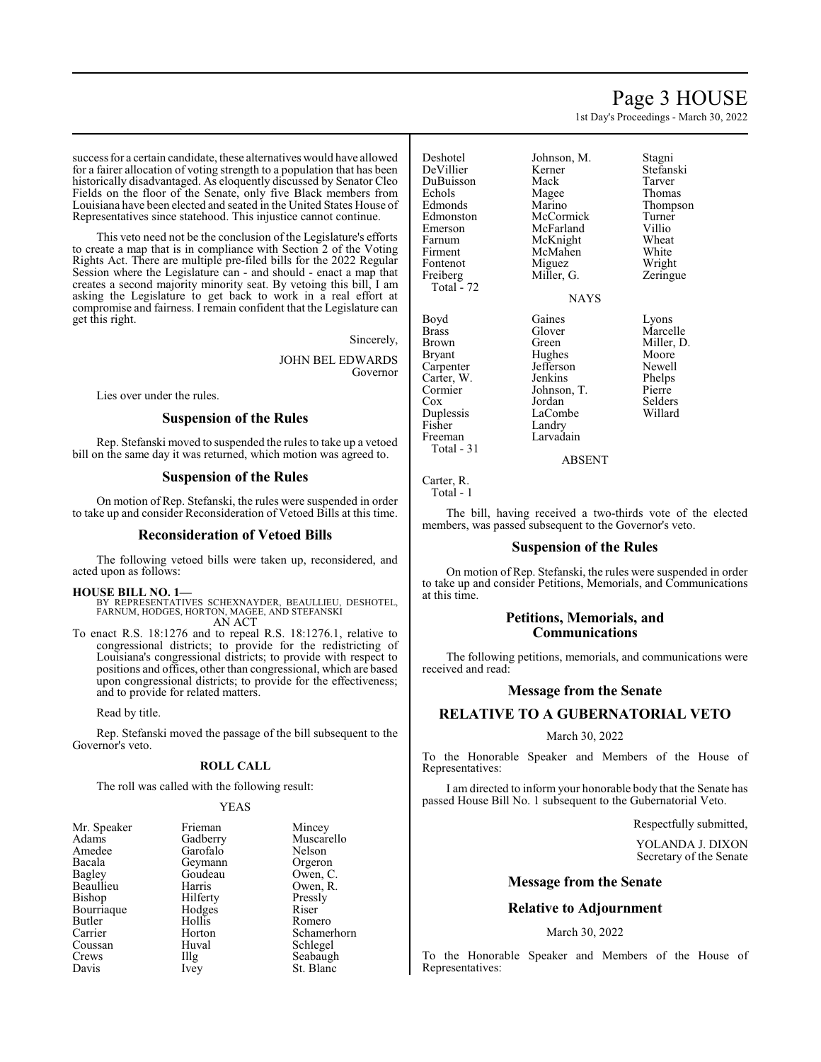## Page 3 HOUSE

1st Day's Proceedings - March 30, 2022

success for a certain candidate, these alternatives would have allowed for a fairer allocation of voting strength to a population that has been historically disadvantaged. As eloquently discussed by Senator Cleo Fields on the floor of the Senate, only five Black members from Louisiana have been elected and seated in the United States House of Representatives since statehood. This injustice cannot continue.

This veto need not be the conclusion of the Legislature's efforts to create a map that is in compliance with Section 2 of the Voting Rights Act. There are multiple pre-filed bills for the 2022 Regular Session where the Legislature can - and should - enact a map that creates a second majority minority seat. By vetoing this bill, I am asking the Legislature to get back to work in a real effort at compromise and fairness. I remain confident that the Legislature can get this right.

Sincerely,

JOHN BEL EDWARDS Governor

Lies over under the rules.

#### **Suspension of the Rules**

Rep. Stefanski moved to suspended the rules to take up a vetoed bill on the same day it was returned, which motion was agreed to.

#### **Suspension of the Rules**

On motion of Rep. Stefanski, the rules were suspended in order to take up and consider Reconsideration of Vetoed Bills at this time.

#### **Reconsideration of Vetoed Bills**

The following vetoed bills were taken up, reconsidered, and acted upon as follows:

#### **HOUSE BILL NO. 1—**

BY REPRESENTATIVES SCHEXNAYDER, BEAULLIEU, DESHOTEL, FARNUM, HODGES, HORTON, MAGEE, AND STEFANSKI AN ACT

To enact R.S. 18:1276 and to repeal R.S. 18:1276.1, relative to congressional districts; to provide for the redistricting of Louisiana's congressional districts; to provide with respect to positions and offices, other than congressional, which are based upon congressional districts; to provide for the effectiveness; and to provide for related matters.

Read by title.

Rep. Stefanski moved the passage of the bill subsequent to the Governor's veto.

## **ROLL CALL**

The roll was called with the following result:

#### YEAS

| Mr. Speaker   | Frieman  | Mincey      |
|---------------|----------|-------------|
| Adams         | Gadberry | Muscarello  |
| Amedee        | Garofalo | Nelson      |
| Bacala        | Geymann  | Orgeron     |
| <b>Bagley</b> | Goudeau  | Owen, C.    |
| Beaullieu     | Harris   | Owen, R.    |
| <b>Bishop</b> | Hilferty | Pressly     |
| Bourriaque    | Hodges   | Riser       |
| Butler        | Hollis   | Romero      |
| Carrier       | Horton   | Schamerhorn |
| Coussan       | Huval    | Schlegel    |
| Crews         | Illg     | Seabaugh    |
| Davis         | Ivey     | St. Blanc   |
|               |          |             |

| Mincey      |
|-------------|
| Muscarello  |
| Nelson      |
| Orgeron     |
| Owen, C.    |
| Owen, R.    |
| Pressly     |
| Riser       |
| Romero      |
| Schamerhorn |
| Schlegel    |
| Seabaugh    |
| St. Blanc   |

| Deshotel   | Johnson, M. | Stagni     |
|------------|-------------|------------|
| DeVillier  | Kerner      | Stefanski  |
| DuBuisson  | Mack        | Tarver     |
| Echols     | Magee       | Thomas     |
| Edmonds    | Marino      | Thompson   |
| Edmonston  | McCormick   | Turner     |
| Emerson    | McFarland   | Villio     |
| Farnum     | McKnight    | Wheat      |
| Firment    | McMahen     | White      |
| Fontenot   | Miguez      | Wright     |
| Freiberg   | Miller, G.  | Zeringue   |
| Total - 72 |             |            |
|            | <b>NAYS</b> |            |
|            |             |            |
| Boyd       | Gaines      | Lyons      |
| Brass      | Glover      | Marcelle   |
| Brown      | Green       | Miller, D. |
| Bryant     | Hughes      | Moore      |
| Carpenter  | Jefferson   | Newell     |
|            |             |            |
| Carter, W. | Jenkins     | Phelps     |
| Cormier    | Johnson, T. | Pierre     |
| Cox        | Jordan      | Selders    |
| Duplessis  | LaCombe     | Willard    |
| Fisher     | Landry      |            |
| Freeman    | Larvadain   |            |
| Total - 31 |             |            |

#### ABSENT

Carter, R. Total - 1

The bill, having received a two-thirds vote of the elected members, was passed subsequent to the Governor's veto.

#### **Suspension of the Rules**

On motion of Rep. Stefanski, the rules were suspended in order to take up and consider Petitions, Memorials, and Communications at this time.

## **Petitions, Memorials, and Communications**

The following petitions, memorials, and communications were received and read:

#### **Message from the Senate**

## **RELATIVE TO A GUBERNATORIAL VETO**

#### March 30, 2022

To the Honorable Speaker and Members of the House of Representatives:

I am directed to inform your honorable body that the Senate has passed House Bill No. 1 subsequent to the Gubernatorial Veto.

Respectfully submitted,

YOLANDA J. DIXON Secretary of the Senate

#### **Message from the Senate**

#### **Relative to Adjournment**

#### March 30, 2022

To the Honorable Speaker and Members of the House of Representatives: